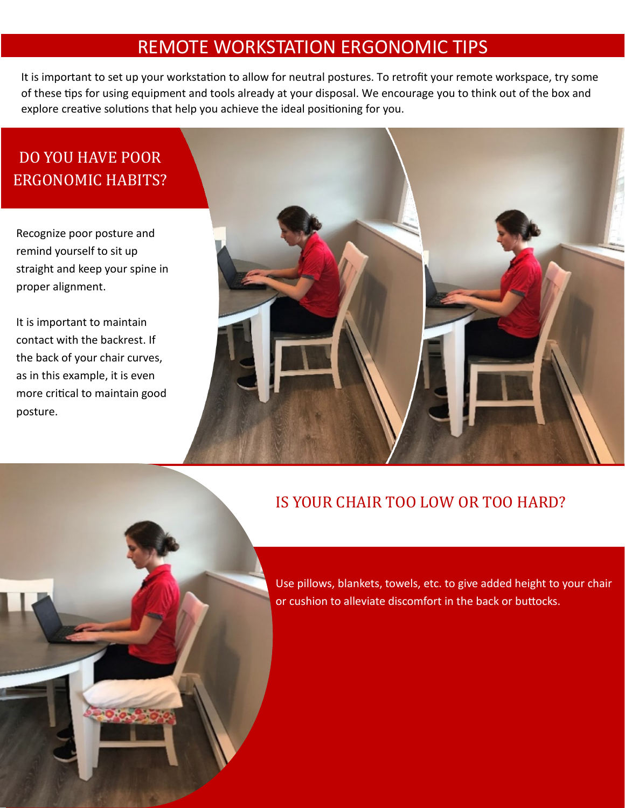## REMOTE WORKSTATION ERGONOMIC TIPS

It is important to set up your workstation to allow for neutral postures. To retrofit your remote workspace, try some of these tips for using equipment and tools already at your disposal. We encourage you to think out of the box and explore creative solutions that help you achieve the ideal positioning for you.

# DO YOU HAVE POOR ERGONOMIC HABITS?

Recognize poor posture and remind yourself to sit up straight and keep your spine in proper alignment.

It is important to maintain contact with the backrest. If the back of your chair curves, as in this example, it is even more critical to maintain good posture.



#### IS YOUR CHAIR TOO LOW OR TOO HARD?

Use pillows, blankets, towels, etc. to give added height to your chair or cushion to alleviate discomfort in the back or buttocks.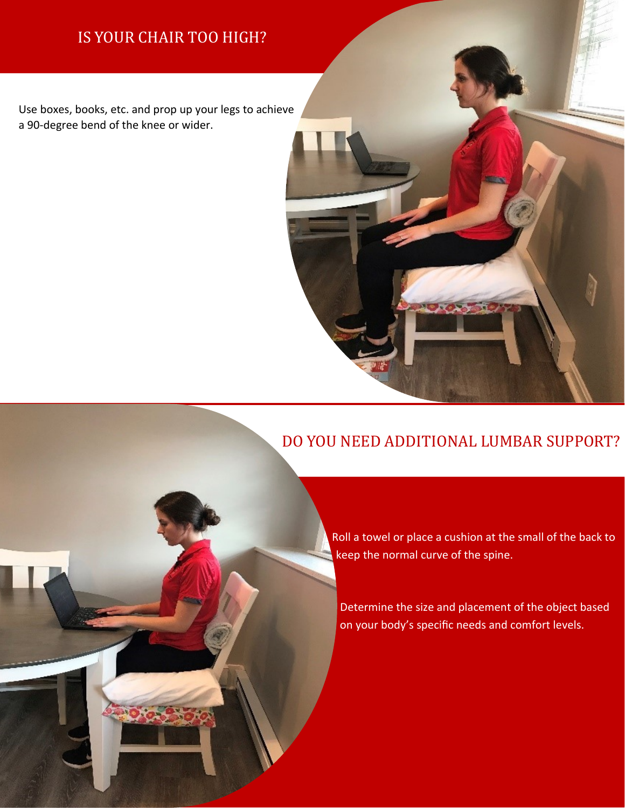### IS YOUR CHAIR TOO HIGH?

Use boxes, books, etc. and prop up your legs to achieve a 90-degree bend of the knee or wider.

## DO YOU NEED ADDITIONAL LUMBAR SUPPORT?

Roll a towel or place a cushion at the small of the back to keep the normal curve of the spine.

Determine the size and placement of the object based on your body's specific needs and comfort levels.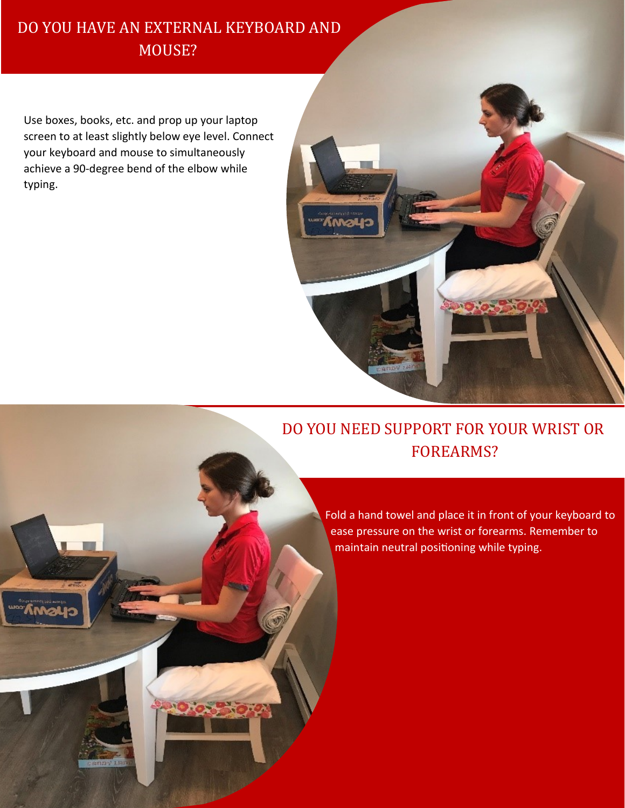### DO YOU HAVE AN EXTERNAL KEYBOARD AND MOUSE?

Use boxes, books, etc. and prop up your laptop screen to at least slightly below eye level. Connect your keyboard and mouse to simultaneously achieve a 90-degree bend of the elbow while typing.



# DO YOU NEED SUPPORT FOR YOUR WRIST OR FOREARMS?

Fold a hand towel and place it in front of your keyboard to ease pressure on the wrist or forearms. Remember to maintain neutral positioning while typing.